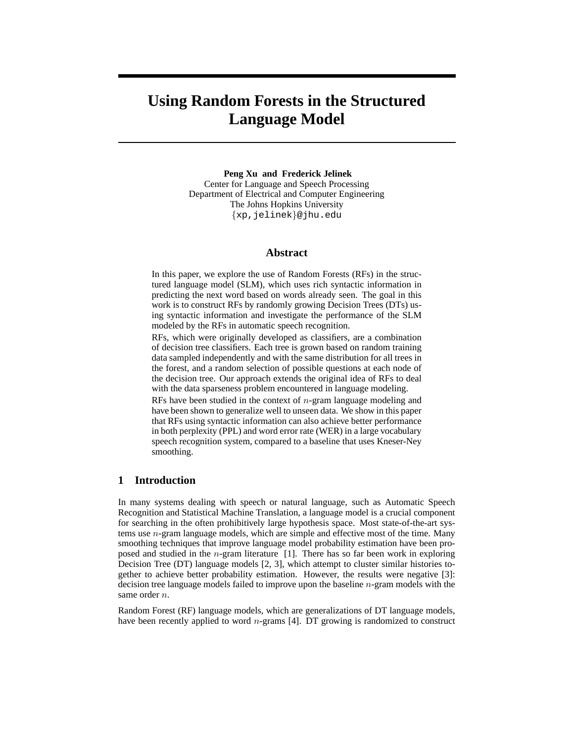# **Using Random Forests in the Structured Language Model**

**Peng Xu and Frederick Jelinek** Center for Language and Speech Processing Department of Electrical and Computer Engineering The Johns Hopkins University {xp,jelinek}@jhu.edu

## **Abstract**

In this paper, we explore the use of Random Forests (RFs) in the structured language model (SLM), which uses rich syntactic information in predicting the next word based on words already seen. The goal in this work is to construct RFs by randomly growing Decision Trees (DTs) using syntactic information and investigate the performance of the SLM modeled by the RFs in automatic speech recognition.

RFs, which were originally developed as classifiers, are a combination of decision tree classifiers. Each tree is grown based on random training data sampled independently and with the same distribution for all trees in the forest, and a random selection of possible questions at each node of the decision tree. Our approach extends the original idea of RFs to deal with the data sparseness problem encountered in language modeling.

RFs have been studied in the context of  $n$ -gram language modeling and have been shown to generalize well to unseen data. We show in this paper that RFs using syntactic information can also achieve better performance in both perplexity (PPL) and word error rate (WER) in a large vocabulary speech recognition system, compared to a baseline that uses Kneser-Ney smoothing.

# **1 Introduction**

In many systems dealing with speech or natural language, such as Automatic Speech Recognition and Statistical Machine Translation, a language model is a crucial component for searching in the often prohibitively large hypothesis space. Most state-of-the-art systems use  $n$ -gram language models, which are simple and effective most of the time. Many smoothing techniques that improve language model probability estimation have been proposed and studied in the  $n$ -gram literature [1]. There has so far been work in exploring Decision Tree (DT) language models [2, 3], which attempt to cluster similar histories together to achieve better probability estimation. However, the results were negative [3]: decision tree language models failed to improve upon the baseline n-gram models with the same order *n*.

Random Forest (RF) language models, which are generalizations of DT language models, have been recently applied to word *n*-grams [4]. DT growing is randomized to construct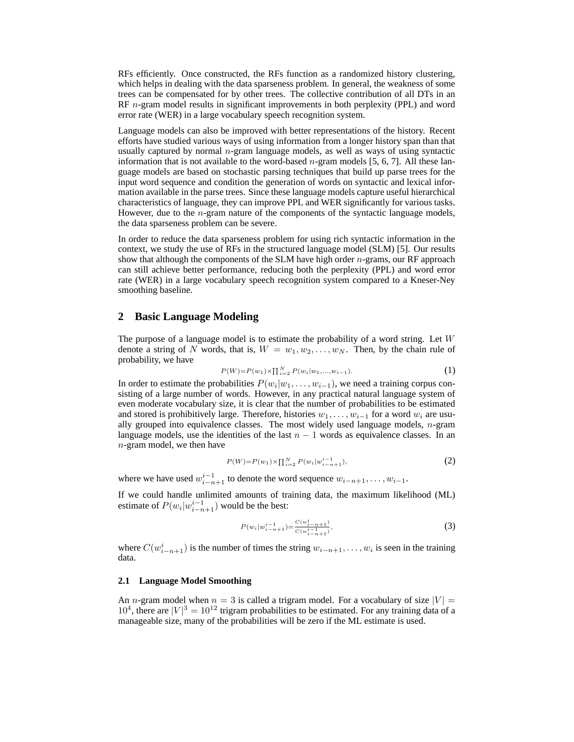RFs efficiently. Once constructed, the RFs function as a randomized history clustering, which helps in dealing with the data sparseness problem. In general, the weakness of some trees can be compensated for by other trees. The collective contribution of all DTs in an RF n-gram model results in significant improvements in both perplexity (PPL) and word error rate (WER) in a large vocabulary speech recognition system.

Language models can also be improved with better representations of the history. Recent efforts have studied various ways of using information from a longer history span than that usually captured by normal  $n$ -gram language models, as well as ways of using syntactic information that is not available to the word-based  $n$ -gram models [5, 6, 7]. All these language models are based on stochastic parsing techniques that build up parse trees for the input word sequence and condition the generation of words on syntactic and lexical information available in the parse trees. Since these language models capture useful hierarchical characteristics of language, they can improve PPL and WER significantly for various tasks. However, due to the *n*-gram nature of the components of the syntactic language models, the data sparseness problem can be severe.

In order to reduce the data sparseness problem for using rich syntactic information in the context, we study the use of RFs in the structured language model (SLM) [5]. Our results show that although the components of the SLM have high order  $n$ -grams, our RF approach can still achieve better performance, reducing both the perplexity (PPL) and word error rate (WER) in a large vocabulary speech recognition system compared to a Kneser-Ney smoothing baseline.

# **2 Basic Language Modeling**

The purpose of a language model is to estimate the probability of a word string. Let W denote a string of N words, that is,  $W = w_1, w_2, \dots, w_N$ . Then, by the chain rule of probability, we have

$$
P(W) = P(w_1) \times \prod_{i=2}^{N} P(w_i | w_1, \dots, w_{i-1}).
$$
\n(1)

In order to estimate the probabilities  $P(w_i|w_1, \ldots, w_{i-1})$ , we need a training corpus consisting of a large number of words. However, in any practical natural language system of even moderate vocabulary size, it is clear that the number of probabilities to be estimated and stored is prohibitively large. Therefore, histories  $w_1, \ldots, w_{i-1}$  for a word  $w_i$  are usually grouped into equivalence classes. The most widely used language models,  $n$ -gram language models, use the identities of the last  $n - 1$  words as equivalence classes. In an  $n$ -gram model, we then have

$$
P(W) = P(w_1) \times \prod_{i=2}^{N} P(w_i | w_{i-n+1}^{i-1}),
$$
\n(2)

where we have used  $w_{i-n+1}^{i-1}$  to denote the word sequence  $w_{i-n+1}, \ldots, w_{i-1}$ .

If we could handle unlimited amounts of training data, the maximum likelihood (ML) estimate of  $P(w_i|w_{i-n+1}^{i-1})$  would be the best:

$$
P(w_i|w_{i-n+1}^{i-1}) = \frac{C(w_{i-n+1}^{i})}{C(w_{i-n+1}^{i-1})},\tag{3}
$$

where  $C(w_{i-n+1}^i)$  is the number of times the string  $w_{i-n+1}, \ldots, w_i$  is seen in the training data.

## **2.1 Language Model Smoothing**

An n-gram model when  $n = 3$  is called a trigram model. For a vocabulary of size  $|V| =$  $10^4$ , there are  $|V|^3 = 10^{12}$  trigram probabilities to be estimated. For any training data of a manageable size, many of the probabilities will be zero if the ML estimate is used.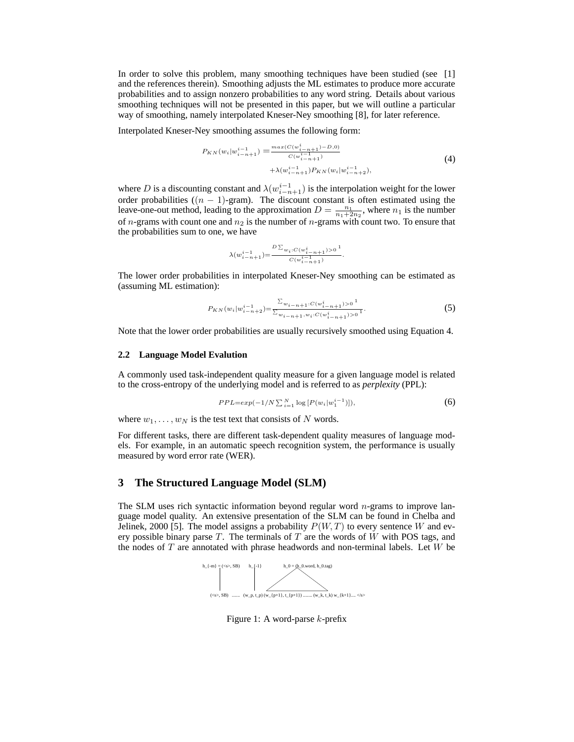In order to solve this problem, many smoothing techniques have been studied (see [1] and the references therein). Smoothing adjusts the ML estimates to produce more accurate probabilities and to assign nonzero probabilities to any word string. Details about various smoothing techniques will not be presented in this paper, but we will outline a particular way of smoothing, namely interpolated Kneser-Ney smoothing [8], for later reference.

Interpolated Kneser-Ney smoothing assumes the following form:

$$
P_{KN}(w_i|w_{i-n+1}^{i-1}) = \frac{\max(C(w_{i-n+1}^{i})-D,0)}{C(w_{i-n+1}^{i-1})} + \lambda(w_{i-n+1}^{i-1})P_{KN}(w_i|w_{i-n+2}^{i-1}),
$$
\n
$$
(4)
$$

where D is a discounting constant and  $\lambda(w_{i-n+1}^{i-1})$  is the interpolation weight for the lower order probabilities  $((n - 1)$ -gram). The discount constant is often estimated using the leave-one-out method, leading to the approximation  $D = \frac{n_1}{n_1 + 2n_2}$ , where  $n_1$  is the number of *n*-grams with count one and  $n_2$  is the number of *n*-grams with count two. To ensure that the probabilities sum to one, we have

$$
\lambda(w_{i-n+1}^{i-1}) \hspace{-1mm}=\hspace{-1mm} \frac{D \sum_{w_i:C(w_{i-n+1}^i)>0} \hspace{-1mm}1}{C(w_{i-n+1}^{i-1})}.
$$

The lower order probabilities in interpolated Kneser-Ney smoothing can be estimated as (assuming ML estimation):

$$
P_{KN}(w_i|w_{i-n+2}^{i-1}) = \frac{\sum_{w_{i-n+1}:C(w_{i-n+1}^i)>0} 1}{\sum_{w_{i-n+1},w_i:C(w_{i-n+1}^i)>0} 1}.
$$
\n(5)

Note that the lower order probabilities are usually recursively smoothed using Equation 4.

#### **2.2 Language Model Evalution**

A commonly used task-independent quality measure for a given language model is related to the cross-entropy of the underlying model and is referred to as *perplexity* (PPL):

$$
PPL = exp(-1/N \sum_{i=1}^{N} \log [P(w_i|w_1^{i-1})]), \tag{6}
$$

where  $w_1, \ldots, w_N$  is the test text that consists of N words.

For different tasks, there are different task-dependent quality measures of language models. For example, in an automatic speech recognition system, the performance is usually measured by word error rate (WER).

# **3 The Structured Language Model (SLM)**

The SLM uses rich syntactic information beyond regular word n-grams to improve language model quality. An extensive presentation of the SLM can be found in Chelba and Jelinek, 2000 [5]. The model assigns a probability  $P(W, T)$  to every sentence W and every possible binary parse  $T$ . The terminals of  $T$  are the words of  $W$  with POS tags, and the nodes of  $T$  are annotated with phrase headwords and non-terminal labels. Let  $W$  be



Figure 1: A word-parse k-prefix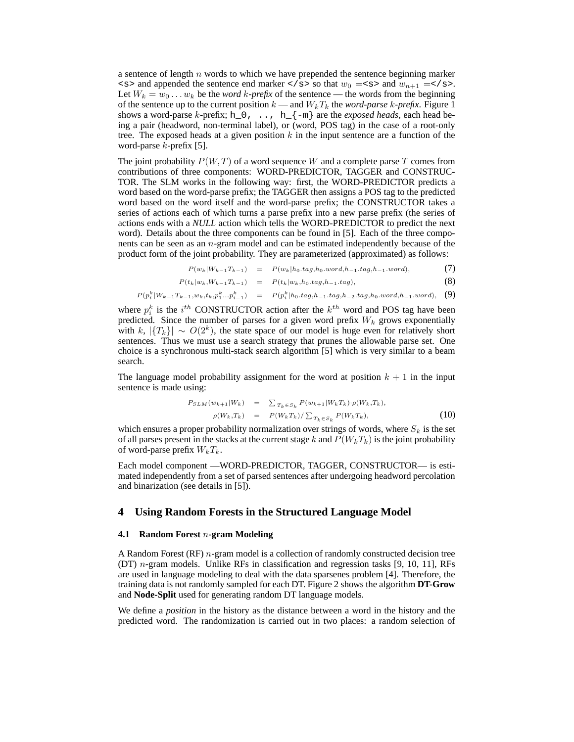a sentence of length  $n$  words to which we have prepended the sentence beginning marker  $\langle s \rangle$  and appended the sentence end marker  $\langle s \rangle$  so that  $w_0 = \langle s \rangle$  and  $w_{n+1} = \langle s \rangle$ . Let  $W_k = w_0 \dots w_k$  be the *word* k-prefix of the sentence — the words from the beginning of the sentence up to the current position  $k$  — and  $W_kT_k$  the *word-parse* k-*prefix*. Figure 1 shows a word-parse k-prefix; h\_0,  $\dots$ , h\_{-m} are the *exposed heads*, each head being a pair (headword, non-terminal label), or (word, POS tag) in the case of a root-only tree. The exposed heads at a given position  $k$  in the input sentence are a function of the word-parse  $k$ -prefix [5].

The joint probability  $P(W, T)$  of a word sequence W and a complete parse T comes from contributions of three components: WORD-PREDICTOR, TAGGER and CONSTRUC-TOR. The SLM works in the following way: first, the WORD-PREDICTOR predicts a word based on the word-parse prefix; the TAGGER then assigns a POS tag to the predicted word based on the word itself and the word-parse prefix; the CONSTRUCTOR takes a series of actions each of which turns a parse prefix into a new parse prefix (the series of actions ends with a *NULL* action which tells the WORD-PREDICTOR to predict the next word). Details about the three components can be found in [5]. Each of the three components can be seen as an n-gram model and can be estimated independently because of the product form of the joint probability. They are parameterized (approximated) as follows:

 $P(w_k|W_{k-1}T_{k-1}) = P(w_k|h_0.tag,h_0.word,h_{-1}.tag,h_{-1}.word),$  (7)

$$
P(t_k|w_k, W_{k-1}T_{k-1}) = P(t_k|w_k, h_0.tag, h_{-1}.tag),
$$
\n(8)

$$
P(p_i^k|W_{k-1}T_{k-1}, w_k, t_k, p_1^k...p_{i-1}^k) = P(p_i^k|h_0.tag, h_{-1}.tag, h_{-2}.tag, h_0. word, h_{-1}.word), \quad (9)
$$

where  $p_i^k$  is the  $i^{th}$  CONSTRUCTOR action after the  $k^{th}$  word and POS tag have been predicted. Since the number of parses for a given word prefix  $W_k$  grows exponentially with k,  $|\{T_k\}| \sim O(2^k)$ , the state space of our model is huge even for relatively short sentences. Thus we must use a search strategy that prunes the allowable parse set. One choice is a synchronous multi-stack search algorithm [5] which is very similar to a beam search.

The language model probability assignment for the word at position  $k + 1$  in the input sentence is made using:

$$
P_{SLM}(w_{k+1}|W_k) = \sum_{T_k \in S_k} P(w_{k+1}|W_k T_k) \cdot \rho(W_k, T_k),
$$
  
\n
$$
\rho(W_k, T_k) = P(W_k T_k) / \sum_{T_k \in S_k} P(W_k T_k),
$$
\n(10)

which ensures a proper probability normalization over strings of words, where  $S_k$  is the set of all parses present in the stacks at the current stage k and  $P(W_kT_k)$  is the joint probability of word-parse prefix  $W_kT_k$ .

Each model component —WORD-PREDICTOR, TAGGER, CONSTRUCTOR— is estimated independently from a set of parsed sentences after undergoing headword percolation and binarization (see details in [5]).

## **4 Using Random Forests in the Structured Language Model**

## **4.1 Random Forest** n**-gram Modeling**

A Random Forest  $(RF)$  *n*-gram model is a collection of randomly constructed decision tree (DT) n-gram models. Unlike RFs in classification and regression tasks [9, 10, 11], RFs are used in language modeling to deal with the data sparsenes problem [4]. Therefore, the training data is not randomly sampled for each DT. Figure 2 shows the algorithm **DT-Grow** and **Node-Split** used for generating random DT language models.

We define a *position* in the history as the distance between a word in the history and the predicted word. The randomization is carried out in two places: a random selection of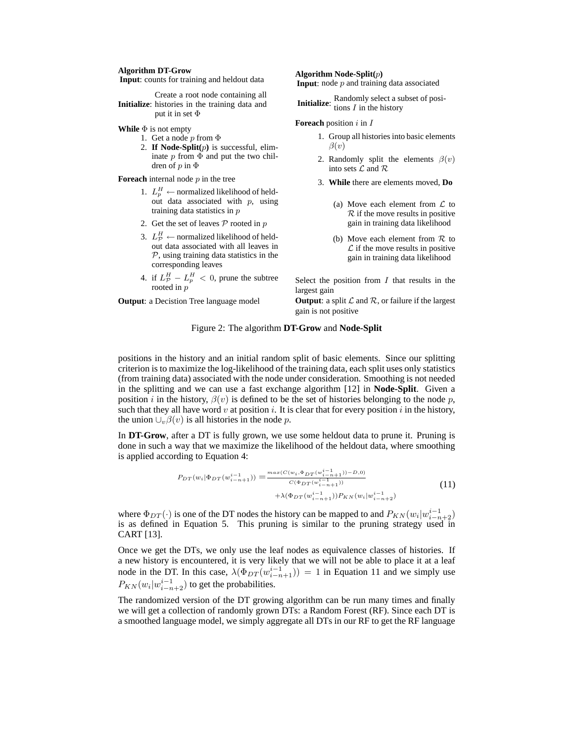#### **Algorithm DT-Grow**

**Input**: counts for training and heldout data

**Initialize**: histories in the training data and Create a root node containing all put it in set Φ

**While** Φ is not empty

- 1. Get a node  $p$  from  $\Phi$
- 2. **If Node-Split(**p**)** is successful, eliminate  $p$  from  $\Phi$  and put the two children of  $p$  in  $\Phi$

**Foreach** internal node  $p$  in the tree

- 1.  $L_p^H \leftarrow$  normalized likelihood of heldout data associated with  $p$ , using training data statistics in p
- 2. Get the set of leaves  $P$  rooted in  $p$
- 3.  $L^H_{\mathcal{P}} \leftarrow$  normalized likelihood of heldout data associated with all leaves in  $P$ , using training data statistics in the corresponding leaves
- 4. if  $L_p^H L_p^H < 0$ , prune the subtree rooted in  $p$

**Output**: a Decistion Tree language model

#### **Algorithm Node-Split(**p**)**

**Input**: node p and training data associated

**Initialize:** Randomly select a subset of positions  $I$  in the history

#### **Foreach** position i in I

- 1. Group all histories into basic elements  $\beta(v)$
- 2. Randomly split the elements  $\beta(v)$ into sets  $\mathcal L$  and  $\mathcal R$
- 3. **While** there are elements moved, **Do**
	- (a) Move each element from  $\mathcal L$  to  $R$  if the move results in positive gain in training data likelihood
	- (b) Move each element from  $R$  to  $\mathcal L$  if the move results in positive gain in training data likelihood

Select the position from  $I$  that results in the largest gain

**Output**: a split  $\mathcal L$  and  $\mathcal R$ , or failure if the largest gain is not positive

#### Figure 2: The algorithm **DT-Grow** and **Node-Split**

positions in the history and an initial random split of basic elements. Since our splitting criterion is to maximize the log-likelihood of the training data, each split uses only statistics (from training data) associated with the node under consideration. Smoothing is not needed in the splitting and we can use a fast exchange algorithm [12] in **Node-Split**. Given a position i in the history,  $\beta(v)$  is defined to be the set of histories belonging to the node p, such that they all have word v at position i. It is clear that for every position i in the history, the union  $\bigcup_{v} \beta(v)$  is all histories in the node p.

In **DT-Grow**, after a DT is fully grown, we use some heldout data to prune it. Pruning is done in such a way that we maximize the likelihood of the heldout data, where smoothing is applied according to Equation 4:

$$
P_{DT}(w_i|\Phi_{DT}(w_{i-n+1}^{i-1})) = \frac{\max(C(w_i, \Phi_{DT}(w_{i-n+1}^{i-1})) - D, 0)}{C(\Phi_{DT}(w_{i-n+1}^{i-1}))} + \lambda(\Phi_{DT}(w_{i-n+1}^{i-1}))P_{KN}(w_i|w_{i-n+2}^{i-1})
$$
\n(11)

where  $\Phi_{DT}(\cdot)$  is one of the DT nodes the history can be mapped to and  $P_{KN}(w_i|w_{i-n+2}^{i-1})$ is as defined in Equation 5. This pruning is similar to the pruning strategy used in CART [13].

Once we get the DTs, we only use the leaf nodes as equivalence classes of histories. If a new history is encountered, it is very likely that we will not be able to place it at a leaf node in the DT. In this case,  $\lambda(\Phi_{DT}(w_{i-n+1}^{i-1})) = 1$  in Equation 11 and we simply use  $P_{KN}(w_i|w_{i-n+2}^{i-1})$  to get the probabilities.

The randomized version of the DT growing algorithm can be run many times and finally we will get a collection of randomly grown DTs: a Random Forest (RF). Since each DT is a smoothed language model, we simply aggregate all DTs in our RF to get the RF language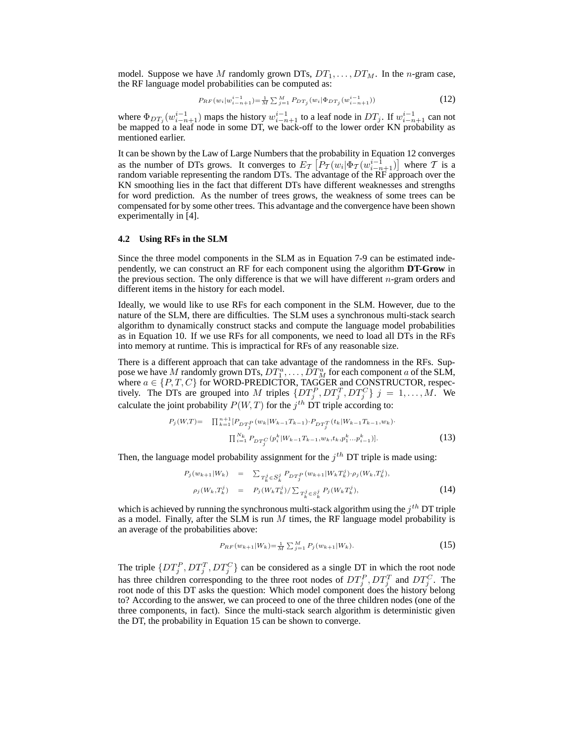model. Suppose we have M randomly grown DTs,  $DT_1, \ldots, DT_M$ . In the n-gram case, the RF language model probabilities can be computed as:

$$
P_{RF}(w_i|w_{i-n+1}^{i-1}) = \frac{1}{M} \sum_{j=1}^{M} P_{DT_j}(w_i|\Phi_{DT_j}(w_{i-n+1}^{i-1}))
$$
\n(12)

where  $\Phi_{DT_j}(w_{i-n+1}^{i-1})$  maps the history  $w_{i-n+1}^{i-1}$  to a leaf node in  $DT_j$ . If  $w_{i-n+1}^{i-1}$  can not be mapped to a leaf node in some DT, we back-off to the lower order KN probability as mentioned earlier.

It can be shown by the Law of Large Numbers that the probability in Equation 12 converges as the number of DTs grows. It converges to  $E_{\mathcal{T}}\left[P_{\mathcal{T}}(w_i | \Phi_{\mathcal{T}}(w_{i-n+1}^{i-1}))\right]$  where  $\mathcal{T}$  is a random variable representing the random DTs. The advantage of the RF approach over the KN smoothing lies in the fact that different DTs have different weaknesses and strengths for word prediction. As the number of trees grows, the weakness of some trees can be compensated for by some other trees. This advantage and the convergence have been shown experimentally in [4].

#### **4.2 Using RFs in the SLM**

Since the three model components in the SLM as in Equation 7-9 can be estimated independently, we can construct an RF for each component using the algorithm **DT-Grow** in the previous section. The only difference is that we will have different  $n$ -gram orders and different items in the history for each model.

Ideally, we would like to use RFs for each component in the SLM. However, due to the nature of the SLM, there are difficulties. The SLM uses a synchronous multi-stack search algorithm to dynamically construct stacks and compute the language model probabilities as in Equation 10. If we use RFs for all components, we need to load all DTs in the RFs into memory at runtime. This is impractical for RFs of any reasonable size.

There is a different approach that can take advantage of the randomness in the RFs. Suppose we have  $M$  randomly grown DTs,  $DT_1^a, \ldots, DT_M^a$  for each component  $a$  of the SLM, where  $a \in \{P, T, C\}$  for WORD-PREDICTOR, TAGGER and CONSTRUCTOR, respectively. The DTs are grouped into M triples  $\{DT_j^P, DT_j^T, DT_j^C\}$   $j = 1, \ldots, M$ . We calculate the joint probability  $P(W, T)$  for the  $j<sup>th</sup>$  DT triple according to:

$$
P_j(W,T) = \prod_{k=1}^{n+1} \{ P_{DT_j^P}(w_k | W_{k-1}T_{k-1}) \cdot P_{DT_j^T}(t_k | W_{k-1}T_{k-1}, w_k) \cdot \prod_{i=1}^{n} P_{DT_j^C}(p_i^k | W_{k-1}T_{k-1}, w_k, t_k, p_1^k \dots p_{i-1}^k) \}.
$$
\n(13)

Then, the language model probability assignment for the  $j<sup>th</sup>$  DT triple is made using:

$$
P_j(w_{k+1}|W_k) = \sum_{T_k^j \in S_k^j} P_{DT_j^P}(w_{k+1}|W_k^j) \cdot \rho_j(W_k, T_k^j),
$$
  
\n
$$
\rho_j(W_k, T_k^j) = P_j(W_k^j) / \sum_{T_k^j \in S_k^j} P_j(W_k^j) ,
$$
\n(14)

which is achieved by running the synchronous multi-stack algorithm using the  $j^{th}$  DT triple as a model. Finally, after the SLM is run  $M$  times, the RF language model probability is an average of the probabilities above:

$$
P_{RF}(w_{k+1}|W_k) = \frac{1}{M} \sum_{j=1}^{M} P_j(w_{k+1}|W_k).
$$
\n(15)

The triple  $\{DT_j^P, DT_j^T, DT_j^C\}$  can be considered as a single DT in which the root node has three children corresponding to the three root nodes of  $DT_j^P$ ,  $DT_j^T$  and  $DT_j^C$ . The root node of this DT asks the question: Which model component does the history belong to? According to the answer, we can proceed to one of the three children nodes (one of the three components, in fact). Since the multi-stack search algorithm is deterministic given the DT, the probability in Equation 15 can be shown to converge.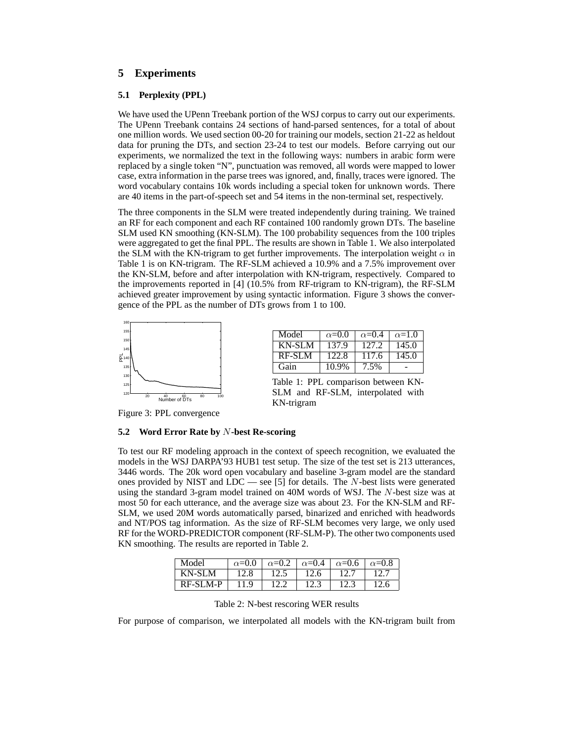# **5 Experiments**

## **5.1 Perplexity (PPL)**

We have used the UPenn Treebank portion of the WSJ corpus to carry out our experiments. The UPenn Treebank contains 24 sections of hand-parsed sentences, for a total of about one million words. We used section 00-20 for training our models, section 21-22 as heldout data for pruning the DTs, and section 23-24 to test our models. Before carrying out our experiments, we normalized the text in the following ways: numbers in arabic form were replaced by a single token "N", punctuation was removed, all words were mapped to lower case, extra information in the parse trees was ignored, and, finally, traces were ignored. The word vocabulary contains 10k words including a special token for unknown words. There are 40 items in the part-of-speech set and 54 items in the non-terminal set, respectively.

The three components in the SLM were treated independently during training. We trained an RF for each component and each RF contained 100 randomly grown DTs. The baseline SLM used KN smoothing (KN-SLM). The 100 probability sequences from the 100 triples were aggregated to get the final PPL. The results are shown in Table 1. We also interpolated the SLM with the KN-trigram to get further improvements. The interpolation weight  $\alpha$  in Table 1 is on KN-trigram. The RF-SLM achieved a 10.9% and a 7.5% improvement over the KN-SLM, before and after interpolation with KN-trigram, respectively. Compared to the improvements reported in [4] (10.5% from RF-trigram to KN-trigram), the RF-SLM achieved greater improvement by using syntactic information. Figure 3 shows the convergence of the PPL as the number of DTs grows from 1 to 100.



| Model  | $\alpha$ =0.0 | $\alpha$ =0.4 | $\alpha=1.0$ |
|--------|---------------|---------------|--------------|
| KN-SLM | 137.9         | 127.2         | 145.0        |
| RF-SLM | 122.8         | 117.6         | 145.0        |
| Gain   | 10.9%         | 7.5%          |              |

Table 1: PPL comparison between KN-SLM and RF-SLM, interpolated with KN-trigram

Figure 3: PPL convergence

## **5.2 Word Error Rate by** N**-best Re-scoring**

To test our RF modeling approach in the context of speech recognition, we evaluated the models in the WSJ DARPA'93 HUB1 test setup. The size of the test set is 213 utterances, 3446 words. The 20k word open vocabulary and baseline 3-gram model are the standard ones provided by NIST and  $LDC$  — see [5] for details. The N-best lists were generated using the standard 3-gram model trained on 40M words of WSJ. The N-best size was at most 50 for each utterance, and the average size was about 23. For the KN-SLM and RF-SLM, we used 20M words automatically parsed, binarized and enriched with headwords and NT/POS tag information. As the size of RF-SLM becomes very large, we only used RF for the WORD-PREDICTOR component (RF-SLM-P). The other two components used KN smoothing. The results are reported in Table 2.

| l Model    | $\alpha = 0.0$ | $\alpha$ =0.2 |      | $\alpha$ =0.4   $\alpha$ =0.6 | $\alpha$ =0.8 |
|------------|----------------|---------------|------|-------------------------------|---------------|
| KN-SLM     | 12.8           | 12.5          | 12.6 | 12.7                          |               |
| $RF-SLM-P$ | 11.9           | 122           | 12.3 |                               | 12.6          |

Table 2: N-best rescoring WER results

For purpose of comparison, we interpolated all models with the KN-trigram built from